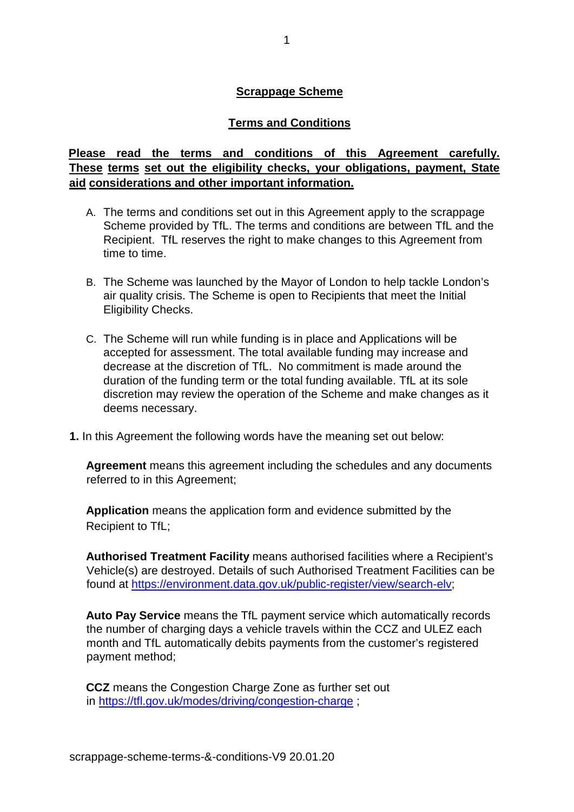## **Scrappage Scheme**

### **Terms and Conditions**

## **Please read the terms and conditions of this Agreement carefully. These terms set out the eligibility checks, your obligations, payment, State aid considerations and other important information.**

- A. The terms and conditions set out in this Agreement apply to the scrappage Scheme provided by TfL. The terms and conditions are between TfL and the Recipient. TfL reserves the right to make changes to this Agreement from time to time.
- B. The Scheme was launched by the Mayor of London to help tackle London's air quality crisis. The Scheme is open to Recipients that meet the Initial Eligibility Checks.
- C. The Scheme will run while funding is in place and Applications will be accepted for assessment. The total available funding may increase and decrease at the discretion of TfL. No commitment is made around the duration of the funding term or the total funding available. TfL at its sole discretion may review the operation of the Scheme and make changes as it deems necessary.
- **1.** In this Agreement the following words have the meaning set out below:

**Agreement** means this agreement including the schedules and any documents referred to in this Agreement;

**Application** means the application form and evidence submitted by the Recipient to TfL;

**Authorised Treatment Facility** means authorised facilities where a Recipient's Vehicle(s) are destroyed. Details of such Authorised Treatment Facilities can be found at [https://environment.data.gov.uk/public-register/view/search-elv;](https://environment.data.gov.uk/public-register/view/search-elv)

**Auto Pay Service** means the TfL payment service which automatically records the number of charging days a vehicle travels within the CCZ and ULEZ each month and TfL automatically debits payments from the customer's registered payment method;

**CCZ** means the Congestion Charge Zone as further set out in<https://tfl.gov.uk/modes/driving/congestion-charge> ;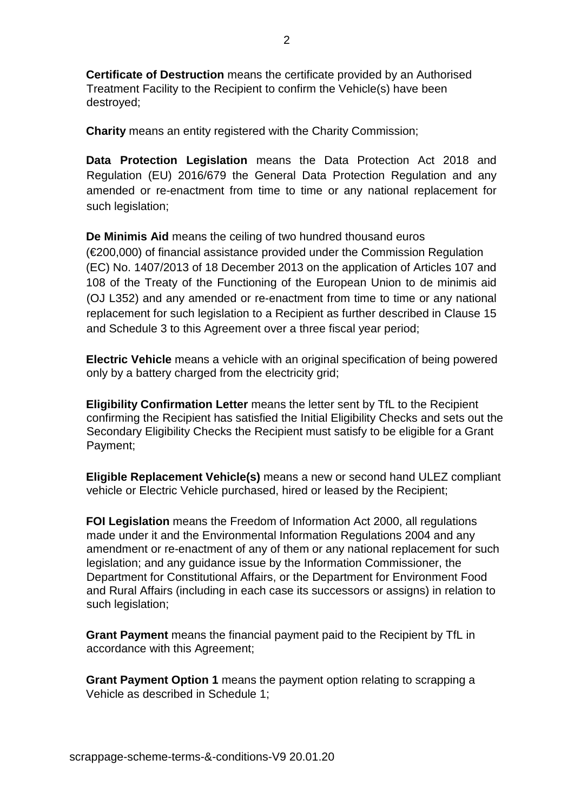**Certificate of Destruction** means the certificate provided by an Authorised Treatment Facility to the Recipient to confirm the Vehicle(s) have been destroyed;

**Charity** means an entity registered with the Charity Commission;

**Data Protection Legislation** means the Data Protection Act 2018 and Regulation (EU) 2016/679 the General Data Protection Regulation and any amended or re-enactment from time to time or any national replacement for such legislation;

**De Minimis Aid** means the ceiling of two hundred thousand euros (€200,000) of financial assistance provided under the Commission Regulation (EC) No. 1407/2013 of 18 December 2013 on the application of Articles 107 and 108 of the Treaty of the Functioning of the European Union to de minimis aid (OJ L352) and any amended or re-enactment from time to time or any national replacement for such legislation to a Recipient as further described in Clause 15 and Schedule 3 to this Agreement over a three fiscal year period;

**Electric Vehicle** means a vehicle with an original specification of being powered only by a battery charged from the electricity grid;

**Eligibility Confirmation Letter** means the letter sent by TfL to the Recipient confirming the Recipient has satisfied the Initial Eligibility Checks and sets out the Secondary Eligibility Checks the Recipient must satisfy to be eligible for a Grant Payment;

**Eligible Replacement Vehicle(s)** means a new or second hand ULEZ compliant vehicle or Electric Vehicle purchased, hired or leased by the Recipient;

**FOI Legislation** means the Freedom of Information Act 2000, all regulations made under it and the Environmental Information Regulations 2004 and any amendment or re-enactment of any of them or any national replacement for such legislation; and any guidance issue by the Information Commissioner, the Department for Constitutional Affairs, or the Department for Environment Food and Rural Affairs (including in each case its successors or assigns) in relation to such legislation;

**Grant Payment** means the financial payment paid to the Recipient by TfL in accordance with this Agreement;

**Grant Payment Option 1** means the payment option relating to scrapping a Vehicle as described in Schedule 1;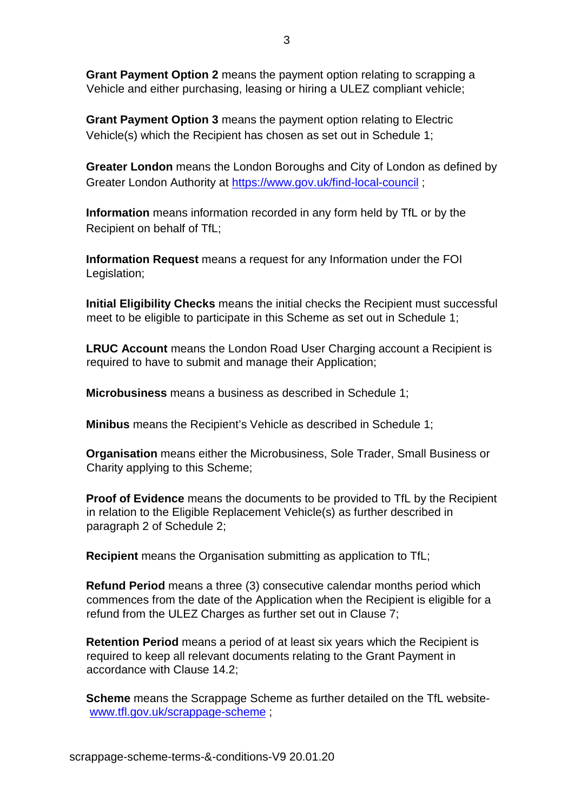**Grant Payment Option 2** means the payment option relating to scrapping a Vehicle and either purchasing, leasing or hiring a ULEZ compliant vehicle;

**Grant Payment Option 3** means the payment option relating to Electric Vehicle(s) which the Recipient has chosen as set out in Schedule 1;

**Greater London** means the London Boroughs and City of London as defined by Greater London Authority at<https://www.gov.uk/find-local-council> [;](https://www.gov.uk/find-local-council)

**Information** means information recorded in any form held by TfL or by the Recipient on behalf of TfL;

**Information Request** means a request for any Information under the FOI Legislation;

**Initial Eligibility Checks** means the initial checks the Recipient must successful meet to be eligible to participate in this Scheme as set out in Schedule 1;

**LRUC Account** means the London Road User Charging account a Recipient is required to have to submit and manage their Application;

**Microbusiness** means a business as described in Schedule 1;

**Minibus** means the Recipient's Vehicle as described in Schedule 1;

**Organisation** means either the Microbusiness, Sole Trader, Small Business or Charity applying to this Scheme;

**Proof of Evidence** means the documents to be provided to TfL by the Recipient in relation to the Eligible Replacement Vehicle(s) as further described in paragraph 2 of Schedule 2;

**Recipient** means the Organisation submitting as application to TfL;

**Refund Period** means a three (3) consecutive calendar months period which commences from the date of the Application when the Recipient is eligible for a refund from the ULEZ Charges as further set out in Clause 7;

**Retention Period** means a period of at least six years which the Recipient is required to keep all relevant documents relating to the Grant Payment in accordance with Clause 14.2;

**Scheme** means the Scrappage Scheme as further detailed on the TfL website[www.tfl.gov.uk/scrappage-scheme](http://www.tfl.gov.uk/scrappage-scheme) [;](http://www.tfl.gov.uk/scrappage-scheme)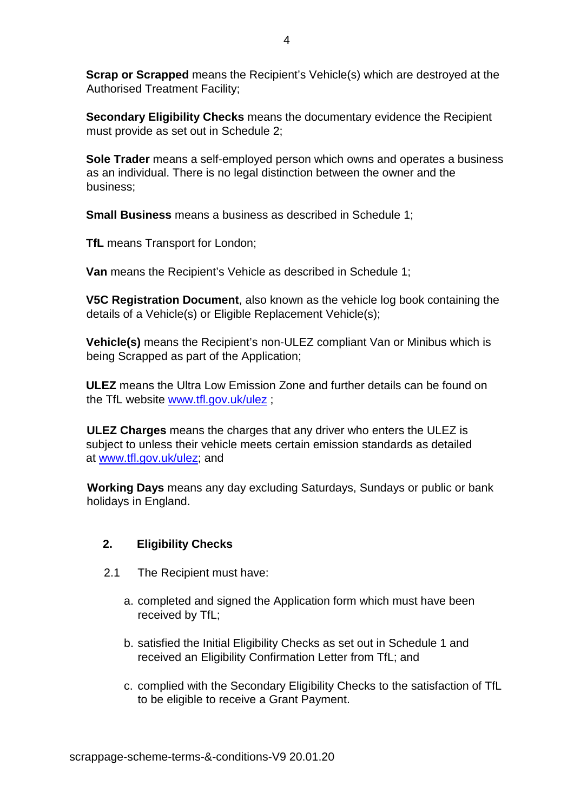**Scrap or Scrapped** means the Recipient's Vehicle(s) which are destroyed at the Authorised Treatment Facility;

**Secondary Eligibility Checks** means the documentary evidence the Recipient must provide as set out in Schedule 2;

**Sole Trader** means a self-employed person which owns and operates a business as an individual. There is no legal distinction between the owner and the business;

**Small Business** means a business as described in Schedule 1;

**TfL** means Transport for London;

**Van** means the Recipient's Vehicle as described in Schedule 1;

**V5C Registration Document**, also known as the vehicle log book containing the details of a Vehicle(s) or Eligible Replacement Vehicle(s);

**Vehicle(s)** means the Recipient's non-ULEZ compliant Van or Minibus which is being Scrapped as part of the Application;

**ULEZ** means the Ultra Low Emission Zone and further details can be found on the TfL website [www.tfl.gov.uk/ulez](http://www.tfl.gov.uk/ulez) [;](http://www.tfl.gov.uk/ulez)

**ULEZ Charges** means the charges that any driver who enters the ULEZ is subject to unless their vehicle meets certain emission standards as detailed at [www.tfl.gov.uk/ulez;](http://www.tfl.gov.uk/ulez) and

 **Working Days** means any day excluding Saturdays, Sundays or public or bank holidays in England.

## **2. Eligibility Checks**

- 2.1 The Recipient must have:
	- a. completed and signed the Application form which must have been received by TfL;
	- b. satisfied the Initial Eligibility Checks as set out in Schedule 1 and received an Eligibility Confirmation Letter from TfL; and
	- c. complied with the Secondary Eligibility Checks to the satisfaction of TfL to be eligible to receive a Grant Payment.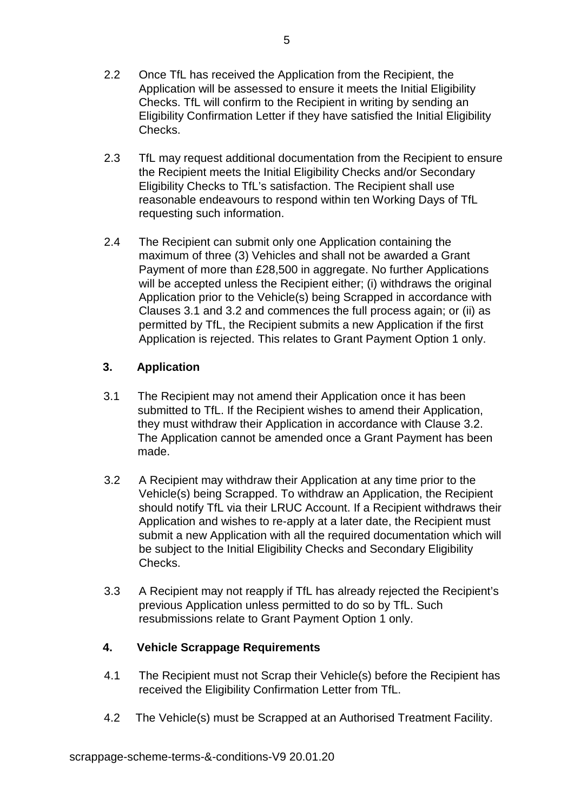- 2.2 Once TfL has received the Application from the Recipient, the Application will be assessed to ensure it meets the Initial Eligibility Checks. TfL will confirm to the Recipient in writing by sending an Eligibility Confirmation Letter if they have satisfied the Initial Eligibility Checks.
- 2.3 TfL may request additional documentation from the Recipient to ensure the Recipient meets the Initial Eligibility Checks and/or Secondary Eligibility Checks to TfL's satisfaction. The Recipient shall use reasonable endeavours to respond within ten Working Days of TfL requesting such information.
- 2.4 The Recipient can submit only one Application containing the maximum of three (3) Vehicles and shall not be awarded a Grant Payment of more than £28,500 in aggregate. No further Applications will be accepted unless the Recipient either; (i) withdraws the original Application prior to the Vehicle(s) being Scrapped in accordance with Clauses 3.1 and 3.2 and commences the full process again; or (ii) as permitted by TfL, the Recipient submits a new Application if the first Application is rejected. This relates to Grant Payment Option 1 only.

## **3. Application**

- 3.1 The Recipient may not amend their Application once it has been submitted to TfL. If the Recipient wishes to amend their Application, they must withdraw their Application in accordance with Clause 3.2. The Application cannot be amended once a Grant Payment has been made.
- 3.2 A Recipient may withdraw their Application at any time prior to the Vehicle(s) being Scrapped. To withdraw an Application, the Recipient should notify TfL via their LRUC Account. If a Recipient withdraws their Application and wishes to re-apply at a later date, the Recipient must submit a new Application with all the required documentation which will be subject to the Initial Eligibility Checks and Secondary Eligibility Checks.
- 3.3 A Recipient may not reapply if TfL has already rejected the Recipient's previous Application unless permitted to do so by TfL. Such resubmissions relate to Grant Payment Option 1 only.

## **4. Vehicle Scrappage Requirements**

- 4.1 The Recipient must not Scrap their Vehicle(s) before the Recipient has received the Eligibility Confirmation Letter from TfL.
- 4.2 The Vehicle(s) must be Scrapped at an Authorised Treatment Facility.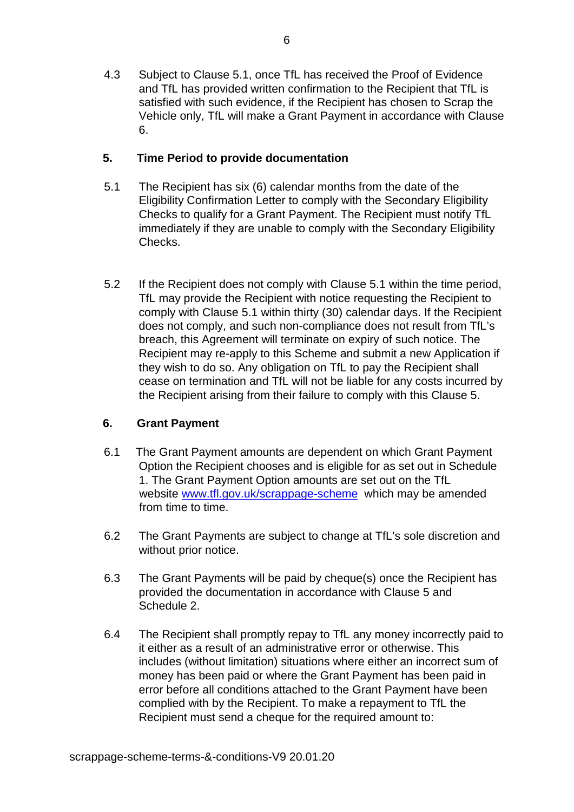4.3 Subject to Clause 5.1, once TfL has received the Proof of Evidence and TfL has provided written confirmation to the Recipient that TfL is satisfied with such evidence, if the Recipient has chosen to Scrap the Vehicle only, TfL will make a Grant Payment in accordance with Clause 6.

## **5. Time Period to provide documentation**

- 5.1 The Recipient has six (6) calendar months from the date of the Eligibility Confirmation Letter to comply with the Secondary Eligibility Checks to qualify for a Grant Payment. The Recipient must notify TfL immediately if they are unable to comply with the Secondary Eligibility Checks.
- 5.2 If the Recipient does not comply with Clause 5.1 within the time period, TfL may provide the Recipient with notice requesting the Recipient to comply with Clause 5.1 within thirty (30) calendar days. If the Recipient does not comply, and such non-compliance does not result from TfL's breach, this Agreement will terminate on expiry of such notice. The Recipient may re-apply to this Scheme and submit a new Application if they wish to do so. Any obligation on TfL to pay the Recipient shall cease on termination and TfL will not be liable for any costs incurred by the Recipient arising from their failure to comply with this Clause 5.

#### **6. Grant Payment**

- 6.1 The Grant Payment amounts are dependent on which Grant Payment Option the Recipient chooses and is eligible for as set out in Schedule 1. The Grant Payment Option amounts are set out on the TfL website [www.tfl.gov.uk/scrappage-scheme](http://www.tfl.gov.uk/scrappage-scheme) which may be amended from time to time.
- 6.2 The Grant Payments are subject to change at TfL's sole discretion and without prior notice.
- 6.3 The Grant Payments will be paid by cheque(s) once the Recipient has provided the documentation in accordance with Clause 5 and Schedule 2.
- 6.4 The Recipient shall promptly repay to TfL any money incorrectly paid to it either as a result of an administrative error or otherwise. This includes (without limitation) situations where either an incorrect sum of money has been paid or where the Grant Payment has been paid in error before all conditions attached to the Grant Payment have been complied with by the Recipient. To make a repayment to TfL the Recipient must send a cheque for the required amount to: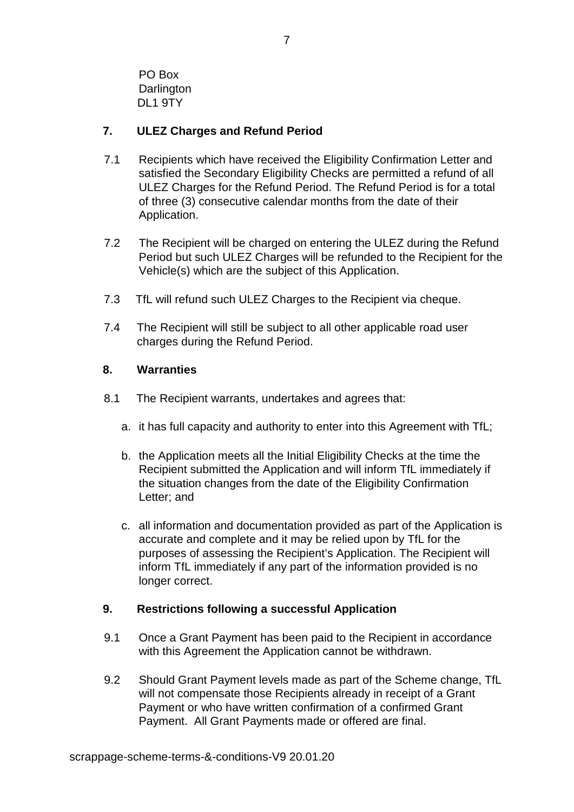PO Box **Darlington** DL1 9TY

## **7. ULEZ Charges and Refund Period**

- 7.1 Recipients which have received the Eligibility Confirmation Letter and satisfied the Secondary Eligibility Checks are permitted a refund of all ULEZ Charges for the Refund Period. The Refund Period is for a total of three (3) consecutive calendar months from the date of their Application.
- 7.2 The Recipient will be charged on entering the ULEZ during the Refund Period but such ULEZ Charges will be refunded to the Recipient for the Vehicle(s) which are the subject of this Application.
- 7.3 TfL will refund such ULEZ Charges to the Recipient via cheque.
- 7.4 The Recipient will still be subject to all other applicable road user charges during the Refund Period.

## **8. Warranties**

- 8.1 The Recipient warrants, undertakes and agrees that:
	- a. it has full capacity and authority to enter into this Agreement with TfL;
	- b. the Application meets all the Initial Eligibility Checks at the time the Recipient submitted the Application and will inform TfL immediately if the situation changes from the date of the Eligibility Confirmation Letter; and
	- c. all information and documentation provided as part of the Application is accurate and complete and it may be relied upon by TfL for the purposes of assessing the Recipient's Application. The Recipient will inform TfL immediately if any part of the information provided is no longer correct.

## **9. Restrictions following a successful Application**

- 9.1 Once a Grant Payment has been paid to the Recipient in accordance with this Agreement the Application cannot be withdrawn.
- 9.2 Should Grant Payment levels made as part of the Scheme change, TfL will not compensate those Recipients already in receipt of a Grant Payment or who have written confirmation of a confirmed Grant Payment. All Grant Payments made or offered are final.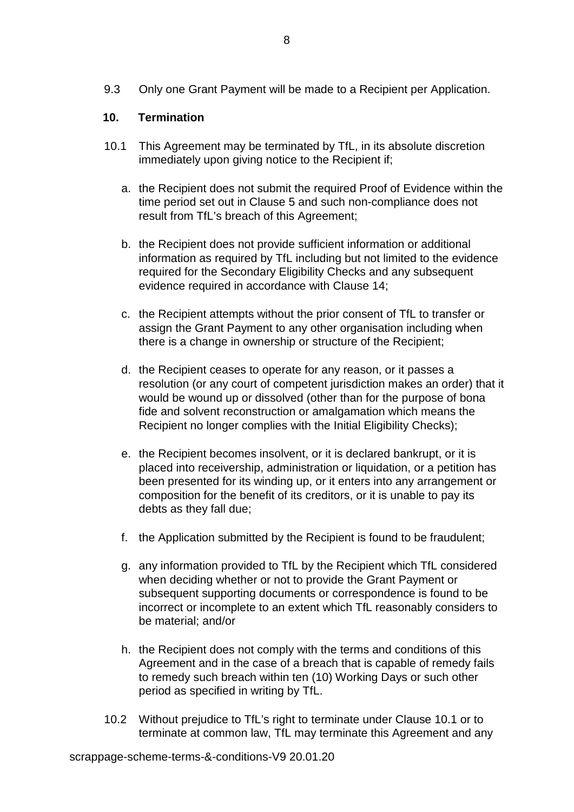9.3 Only one Grant Payment will be made to a Recipient per Application.

## **10. Termination**

- 10.1 This Agreement may be terminated by TfL, in its absolute discretion immediately upon giving notice to the Recipient if;
	- a. the Recipient does not submit the required Proof of Evidence within the time period set out in Clause 5 and such non-compliance does not result from TfL's breach of this Agreement;
	- b. the Recipient does not provide sufficient information or additional information as required by TfL including but not limited to the evidence required for the Secondary Eligibility Checks and any subsequent evidence required in accordance with Clause 14;
	- c. the Recipient attempts without the prior consent of TfL to transfer or assign the Grant Payment to any other organisation including when there is a change in ownership or structure of the Recipient;
	- d. the Recipient ceases to operate for any reason, or it passes a resolution (or any court of competent jurisdiction makes an order) that it would be wound up or dissolved (other than for the purpose of bona fide and solvent reconstruction or amalgamation which means the Recipient no longer complies with the Initial Eligibility Checks);
	- e. the Recipient becomes insolvent, or it is declared bankrupt, or it is placed into receivership, administration or liquidation, or a petition has been presented for its winding up, or it enters into any arrangement or composition for the benefit of its creditors, or it is unable to pay its debts as they fall due;
	- f. the Application submitted by the Recipient is found to be fraudulent;
	- g. any information provided to TfL by the Recipient which TfL considered when deciding whether or not to provide the Grant Payment or subsequent supporting documents or correspondence is found to be incorrect or incomplete to an extent which TfL reasonably considers to be material; and/or
	- h. the Recipient does not comply with the terms and conditions of this Agreement and in the case of a breach that is capable of remedy fails to remedy such breach within ten (10) Working Days or such other period as specified in writing by TfL.
- 10.2 Without prejudice to TfL's right to terminate under Clause 10.1 or to terminate at common law, TfL may terminate this Agreement and any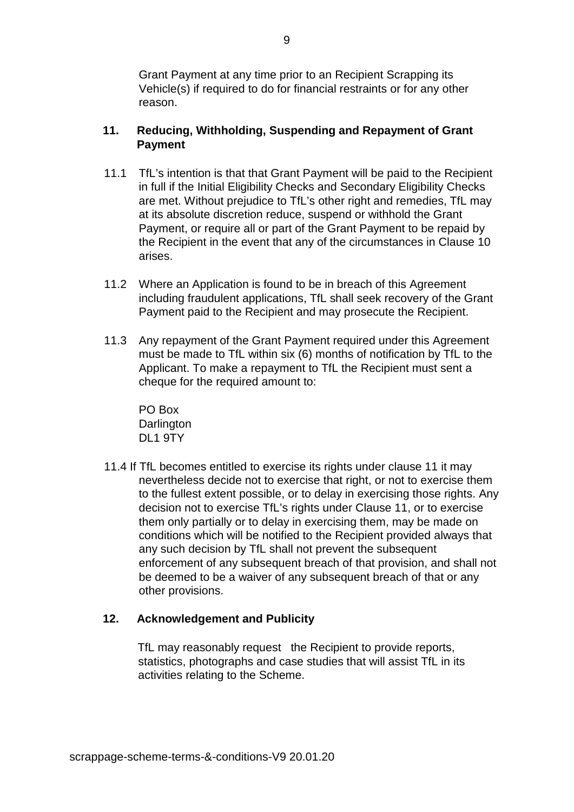Grant Payment at any time prior to an Recipient Scrapping its Vehicle(s) if required to do for financial restraints or for any other reason.

## **11. Reducing, Withholding, Suspending and Repayment of Grant Payment**

- 11.1 TfL's intention is that that Grant Payment will be paid to the Recipient in full if the Initial Eligibility Checks and Secondary Eligibility Checks are met. Without prejudice to TfL's other right and remedies, TfL may at its absolute discretion reduce, suspend or withhold the Grant Payment, or require all or part of the Grant Payment to be repaid by the Recipient in the event that any of the circumstances in Clause 10 arises.
- 11.2 Where an Application is found to be in breach of this Agreement including fraudulent applications, TfL shall seek recovery of the Grant Payment paid to the Recipient and may prosecute the Recipient.
- 11.3 Any repayment of the Grant Payment required under this Agreement must be made to TfL within six (6) months of notification by TfL to the Applicant. To make a repayment to TfL the Recipient must sent a cheque for the required amount to:

PO Box **Darlington** DL1 9TY

11.4 If TfL becomes entitled to exercise its rights under clause 11 it may nevertheless decide not to exercise that right, or not to exercise them to the fullest extent possible, or to delay in exercising those rights. Any decision not to exercise TfL's rights under Clause 11, or to exercise them only partially or to delay in exercising them, may be made on conditions which will be notified to the Recipient provided always that any such decision by TfL shall not prevent the subsequent enforcement of any subsequent breach of that provision, and shall not be deemed to be a waiver of any subsequent breach of that or any other provisions.

## **12. Acknowledgement and Publicity**

TfL may reasonably request the Recipient to provide reports, statistics, photographs and case studies that will assist TfL in its activities relating to the Scheme.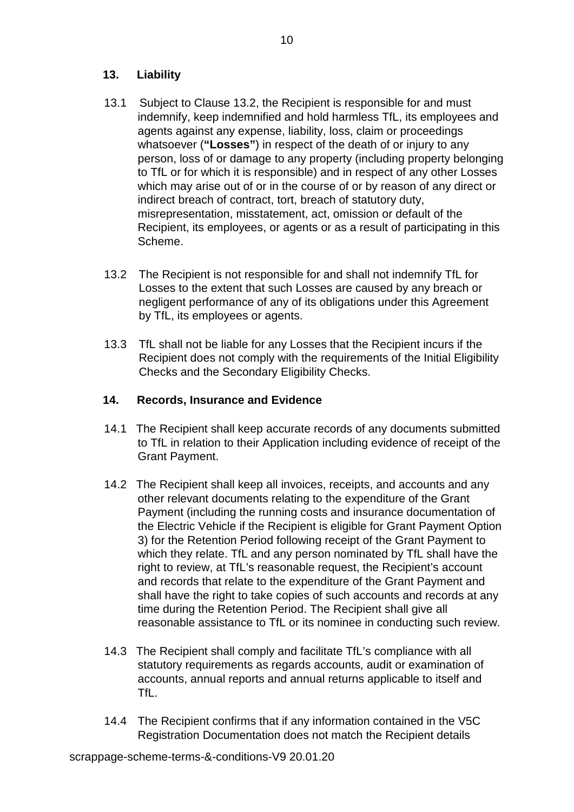## **13. Liability**

- 13.1 Subject to Clause 13.2, the Recipient is responsible for and must indemnify, keep indemnified and hold harmless TfL, its employees and agents against any expense, liability, loss, claim or proceedings whatsoever (**"Losses"**) in respect of the death of or injury to any person, loss of or damage to any property (including property belonging to TfL or for which it is responsible) and in respect of any other Losses which may arise out of or in the course of or by reason of any direct or indirect breach of contract, tort, breach of statutory duty, misrepresentation, misstatement, act, omission or default of the Recipient, its employees, or agents or as a result of participating in this Scheme.
- 13.2 The Recipient is not responsible for and shall not indemnify TfL for Losses to the extent that such Losses are caused by any breach or negligent performance of any of its obligations under this Agreement by TfL, its employees or agents.
- 13.3 TfL shall not be liable for any Losses that the Recipient incurs if the Recipient does not comply with the requirements of the Initial Eligibility Checks and the Secondary Eligibility Checks.

#### **14. Records, Insurance and Evidence**

- 14.1 The Recipient shall keep accurate records of any documents submitted to TfL in relation to their Application including evidence of receipt of the Grant Payment.
- 14.2 The Recipient shall keep all invoices, receipts, and accounts and any other relevant documents relating to the expenditure of the Grant Payment (including the running costs and insurance documentation of the Electric Vehicle if the Recipient is eligible for Grant Payment Option 3) for the Retention Period following receipt of the Grant Payment to which they relate. TfL and any person nominated by TfL shall have the right to review, at TfL's reasonable request, the Recipient's account and records that relate to the expenditure of the Grant Payment and shall have the right to take copies of such accounts and records at any time during the Retention Period. The Recipient shall give all reasonable assistance to TfL or its nominee in conducting such review.
- 14.3 The Recipient shall comply and facilitate TfL's compliance with all statutory requirements as regards accounts, audit or examination of accounts, annual reports and annual returns applicable to itself and TfL.
- 14.4 The Recipient confirms that if any information contained in the V5C Registration Documentation does not match the Recipient details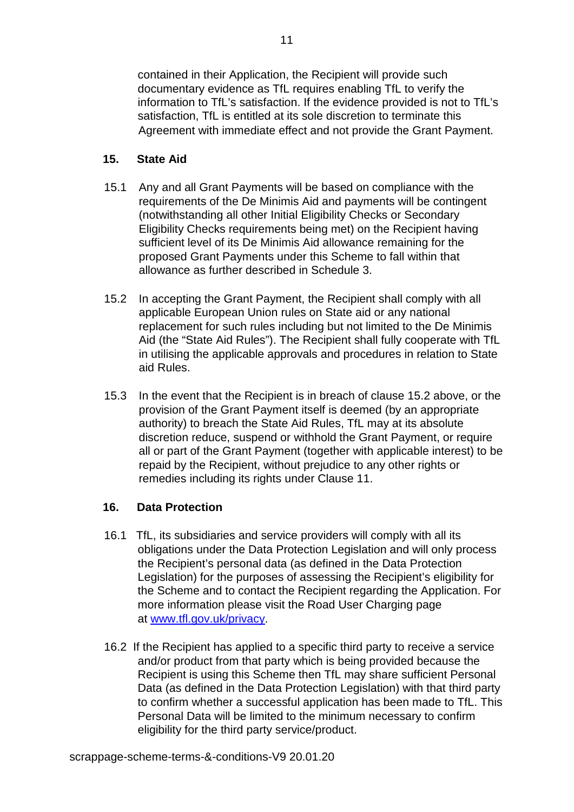contained in their Application, the Recipient will provide such documentary evidence as TfL requires enabling TfL to verify the information to TfL's satisfaction. If the evidence provided is not to TfL's satisfaction, TfL is entitled at its sole discretion to terminate this Agreement with immediate effect and not provide the Grant Payment.

## **15. State Aid**

- 15.1 Any and all Grant Payments will be based on compliance with the requirements of the De Minimis Aid and payments will be contingent (notwithstanding all other Initial Eligibility Checks or Secondary Eligibility Checks requirements being met) on the Recipient having sufficient level of its De Minimis Aid allowance remaining for the proposed Grant Payments under this Scheme to fall within that allowance as further described in Schedule 3.
- 15.2 In accepting the Grant Payment, the Recipient shall comply with all applicable European Union rules on State aid or any national replacement for such rules including but not limited to the De Minimis Aid (the "State Aid Rules"). The Recipient shall fully cooperate with TfL in utilising the applicable approvals and procedures in relation to State aid Rules.
- 15.3 In the event that the Recipient is in breach of clause 15.2 above, or the provision of the Grant Payment itself is deemed (by an appropriate authority) to breach the State Aid Rules, TfL may at its absolute discretion reduce, suspend or withhold the Grant Payment, or require all or part of the Grant Payment (together with applicable interest) to be repaid by the Recipient, without prejudice to any other rights or remedies including its rights under Clause 11.

## **16. Data Protection**

- 16.1 TfL, its subsidiaries and service providers will comply with all its obligations under the Data Protection Legislation and will only process the Recipient's personal data (as defined in the Data Protection Legislation) for the purposes of assessing the Recipient's eligibility for the Scheme and to contact the Recipient regarding the Application. For more information please visit the Road User Charging page at [www.tfl.gov.uk/privacy.](http://www.tfl.gov.uk/privacy)
- 16.2 If the Recipient has applied to a specific third party to receive a service and/or product from that party which is being provided because the Recipient is using this Scheme then TfL may share sufficient Personal Data (as defined in the Data Protection Legislation) with that third party to confirm whether a successful application has been made to TfL. This Personal Data will be limited to the minimum necessary to confirm eligibility for the third party service/product.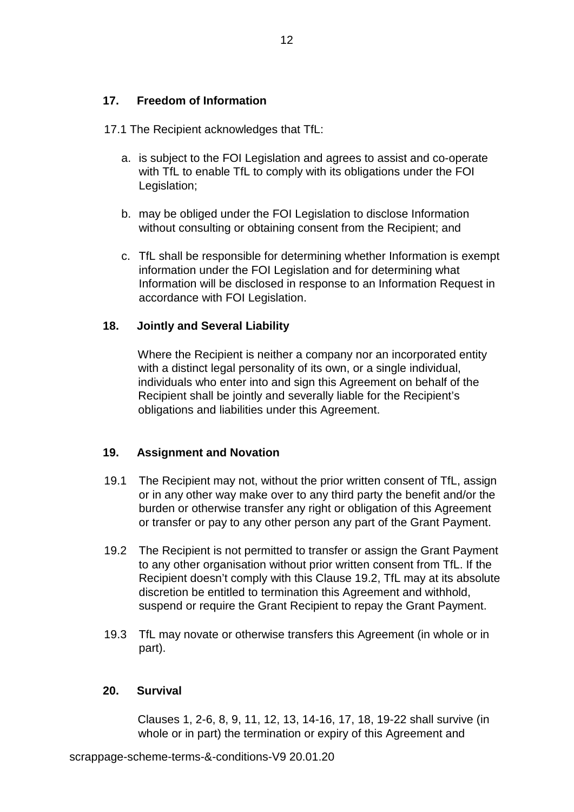### **17. Freedom of Information**

17.1 The Recipient acknowledges that TfL:

- a. is subject to the FOI Legislation and agrees to assist and co-operate with TfL to enable TfL to comply with its obligations under the FOI Legislation;
- b. may be obliged under the FOI Legislation to disclose Information without consulting or obtaining consent from the Recipient; and
- c. TfL shall be responsible for determining whether Information is exempt information under the FOI Legislation and for determining what Information will be disclosed in response to an Information Request in accordance with FOI Legislation.

## **18. Jointly and Several Liability**

Where the Recipient is neither a company nor an incorporated entity with a distinct legal personality of its own, or a single individual, individuals who enter into and sign this Agreement on behalf of the Recipient shall be jointly and severally liable for the Recipient's obligations and liabilities under this Agreement.

#### **19. Assignment and Novation**

- 19.1 The Recipient may not, without the prior written consent of TfL, assign or in any other way make over to any third party the benefit and/or the burden or otherwise transfer any right or obligation of this Agreement or transfer or pay to any other person any part of the Grant Payment.
- 19.2 The Recipient is not permitted to transfer or assign the Grant Payment to any other organisation without prior written consent from TfL. If the Recipient doesn't comply with this Clause 19.2, TfL may at its absolute discretion be entitled to termination this Agreement and withhold, suspend or require the Grant Recipient to repay the Grant Payment.
- 19.3 TfL may novate or otherwise transfers this Agreement (in whole or in part).

#### **20. Survival**

Clauses 1, 2-6, 8, 9, 11, 12, 13, 14-16, 17, 18, 19-22 shall survive (in whole or in part) the termination or expiry of this Agreement and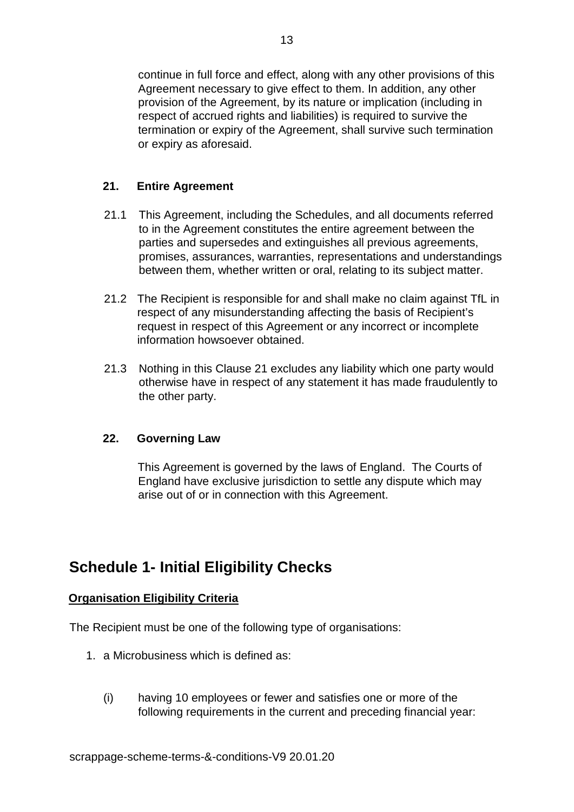continue in full force and effect, along with any other provisions of this Agreement necessary to give effect to them. In addition, any other provision of the Agreement, by its nature or implication (including in respect of accrued rights and liabilities) is required to survive the termination or expiry of the Agreement, shall survive such termination or expiry as aforesaid.

## **21. Entire Agreement**

- 21.1 This Agreement, including the Schedules, and all documents referred to in the Agreement constitutes the entire agreement between the parties and supersedes and extinguishes all previous agreements, promises, assurances, warranties, representations and understandings between them, whether written or oral, relating to its subject matter.
- 21.2 The Recipient is responsible for and shall make no claim against TfL in respect of any misunderstanding affecting the basis of Recipient's request in respect of this Agreement or any incorrect or incomplete information howsoever obtained.
- 21.3 Nothing in this Clause 21 excludes any liability which one party would otherwise have in respect of any statement it has made fraudulently to the other party.

#### **22. Governing Law**

This Agreement is governed by the laws of England. The Courts of England have exclusive jurisdiction to settle any dispute which may arise out of or in connection with this Agreement.

## **Schedule 1- Initial Eligibility Checks**

#### **Organisation Eligibility Criteria**

The Recipient must be one of the following type of organisations:

- 1. a Microbusiness which is defined as:
	- (i) having 10 employees or fewer and satisfies one or more of the following requirements in the current and preceding financial year: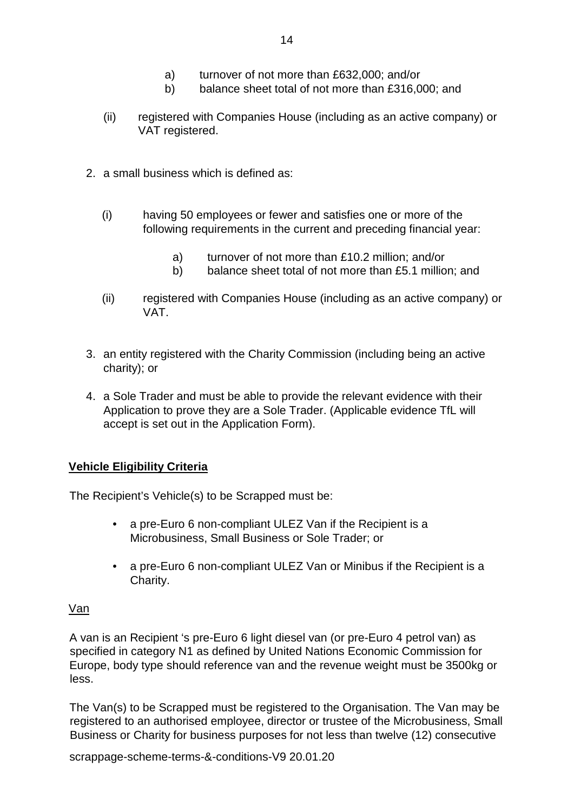- a) turnover of not more than £632,000; and/or
- b) balance sheet total of not more than £316,000; and
- (ii) registered with Companies House (including as an active company) or VAT registered.
- 2. a small business which is defined as:
	- (i) having 50 employees or fewer and satisfies one or more of the following requirements in the current and preceding financial year:
		- a) turnover of not more than £10.2 million; and/or
		- b) balance sheet total of not more than £5.1 million; and
	- (ii) registered with Companies House (including as an active company) or VAT.
- 3. an entity registered with the Charity Commission (including being an active charity); or
- 4. a Sole Trader and must be able to provide the relevant evidence with their Application to prove they are a Sole Trader. (Applicable evidence TfL will accept is set out in the Application Form).

#### **Vehicle Eligibility Criteria**

The Recipient's Vehicle(s) to be Scrapped must be:

- a pre-Euro 6 non-compliant ULEZ Van if the Recipient is a Microbusiness, Small Business or Sole Trader; or
- a pre-Euro 6 non-compliant ULEZ Van or Minibus if the Recipient is a Charity.

#### Van

A van is an Recipient 's pre-Euro 6 light diesel van (or pre-Euro 4 petrol van) as specified in category N1 as defined by United Nations Economic Commission for Europe, body type should reference van and the revenue weight must be 3500kg or less.

The Van(s) to be Scrapped must be registered to the Organisation. The Van may be registered to an authorised employee, director or trustee of the Microbusiness, Small Business or Charity for business purposes for not less than twelve (12) consecutive

scrappage-scheme-terms-&-conditions-V9 20.01.20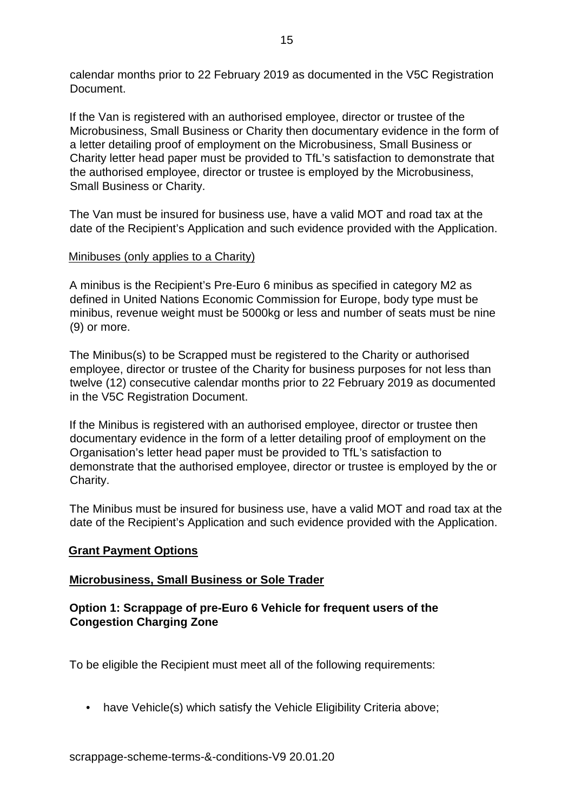calendar months prior to 22 February 2019 as documented in the V5C Registration Document.

If the Van is registered with an authorised employee, director or trustee of the Microbusiness, Small Business or Charity then documentary evidence in the form of a letter detailing proof of employment on the Microbusiness, Small Business or Charity letter head paper must be provided to TfL's satisfaction to demonstrate that the authorised employee, director or trustee is employed by the Microbusiness, Small Business or Charity.

The Van must be insured for business use, have a valid MOT and road tax at the date of the Recipient's Application and such evidence provided with the Application.

### Minibuses (only applies to a Charity)

A minibus is the Recipient's Pre-Euro 6 minibus as specified in category M2 as defined in United Nations Economic Commission for Europe, body type must be minibus, revenue weight must be 5000kg or less and number of seats must be nine (9) or more.

The Minibus(s) to be Scrapped must be registered to the Charity or authorised employee, director or trustee of the Charity for business purposes for not less than twelve (12) consecutive calendar months prior to 22 February 2019 as documented in the V5C Registration Document.

If the Minibus is registered with an authorised employee, director or trustee then documentary evidence in the form of a letter detailing proof of employment on the Organisation's letter head paper must be provided to TfL's satisfaction to demonstrate that the authorised employee, director or trustee is employed by the or Charity.

The Minibus must be insured for business use, have a valid MOT and road tax at the date of the Recipient's Application and such evidence provided with the Application.

#### **Grant Payment Options**

#### **Microbusiness, Small Business or Sole Trader**

### **Option 1: Scrappage of pre-Euro 6 Vehicle for frequent users of the Congestion Charging Zone**

To be eligible the Recipient must meet all of the following requirements:

• have Vehicle(s) which satisfy the Vehicle Eligibility Criteria above;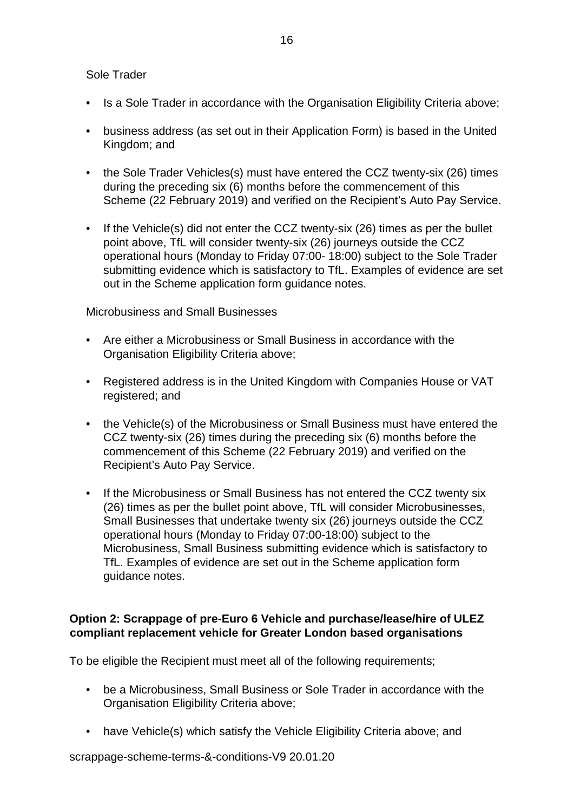#### Sole Trader

- Is a Sole Trader in accordance with the Organisation Eligibility Criteria above;
- business address (as set out in their Application Form) is based in the United Kingdom; and
- the Sole Trader Vehicles(s) must have entered the CCZ twenty-six (26) times during the preceding six (6) months before the commencement of this Scheme (22 February 2019) and verified on the Recipient's Auto Pay Service.
- If the Vehicle(s) did not enter the CCZ twenty-six (26) times as per the bullet point above, TfL will consider twenty-six (26) journeys outside the CCZ operational hours (Monday to Friday 07:00- 18:00) subject to the Sole Trader submitting evidence which is satisfactory to TfL. Examples of evidence are set out in the Scheme application form guidance notes.

### Microbusiness and Small Businesses

- Are either a Microbusiness or Small Business in accordance with the Organisation Eligibility Criteria above;
- Registered address is in the United Kingdom with Companies House or VAT registered; and
- the Vehicle(s) of the Microbusiness or Small Business must have entered the CCZ twenty-six (26) times during the preceding six (6) months before the commencement of this Scheme (22 February 2019) and verified on the Recipient's Auto Pay Service.
- If the Microbusiness or Small Business has not entered the CCZ twenty six (26) times as per the bullet point above, TfL will consider Microbusinesses, Small Businesses that undertake twenty six (26) journeys outside the CCZ operational hours (Monday to Friday 07:00-18:00) subject to the Microbusiness, Small Business submitting evidence which is satisfactory to TfL. Examples of evidence are set out in the Scheme application form guidance notes.

## **Option 2: Scrappage of pre-Euro 6 Vehicle and purchase/lease/hire of ULEZ compliant replacement vehicle for Greater London based organisations**

To be eligible the Recipient must meet all of the following requirements;

- be a Microbusiness, Small Business or Sole Trader in accordance with the Organisation Eligibility Criteria above;
- have Vehicle(s) which satisfy the Vehicle Eligibility Criteria above; and

scrappage-scheme-terms-&-conditions-V9 20.01.20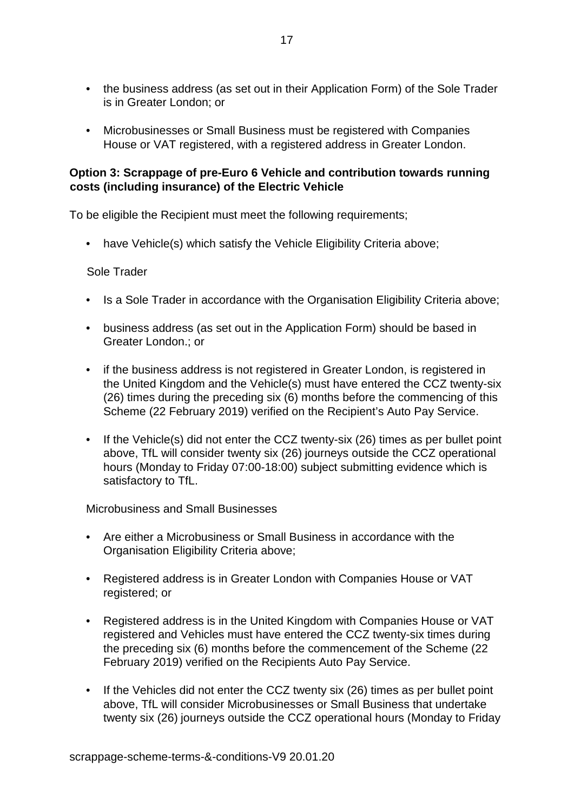- the business address (as set out in their Application Form) of the Sole Trader is in Greater London; or
- Microbusinesses or Small Business must be registered with Companies House or VAT registered, with a registered address in Greater London.

#### **Option 3: Scrappage of pre-Euro 6 Vehicle and contribution towards running costs (including insurance) of the Electric Vehicle**

To be eligible the Recipient must meet the following requirements;

• have Vehicle(s) which satisfy the Vehicle Eligibility Criteria above;

#### Sole Trader

- Is a Sole Trader in accordance with the Organisation Eligibility Criteria above;
- business address (as set out in the Application Form) should be based in Greater London.; or
- if the business address is not registered in Greater London, is registered in the United Kingdom and the Vehicle(s) must have entered the CCZ twenty-six (26) times during the preceding six (6) months before the commencing of this Scheme (22 February 2019) verified on the Recipient's Auto Pay Service.
- If the Vehicle(s) did not enter the CCZ twenty-six (26) times as per bullet point above, TfL will consider twenty six (26) journeys outside the CCZ operational hours (Monday to Friday 07:00-18:00) subject submitting evidence which is satisfactory to TfL.

Microbusiness and Small Businesses

- Are either a Microbusiness or Small Business in accordance with the Organisation Eligibility Criteria above;
- Registered address is in Greater London with Companies House or VAT registered; or
- Registered address is in the United Kingdom with Companies House or VAT registered and Vehicles must have entered the CCZ twenty-six times during the preceding six (6) months before the commencement of the Scheme (22 February 2019) verified on the Recipients Auto Pay Service.
- If the Vehicles did not enter the CCZ twenty six (26) times as per bullet point above, TfL will consider Microbusinesses or Small Business that undertake twenty six (26) journeys outside the CCZ operational hours (Monday to Friday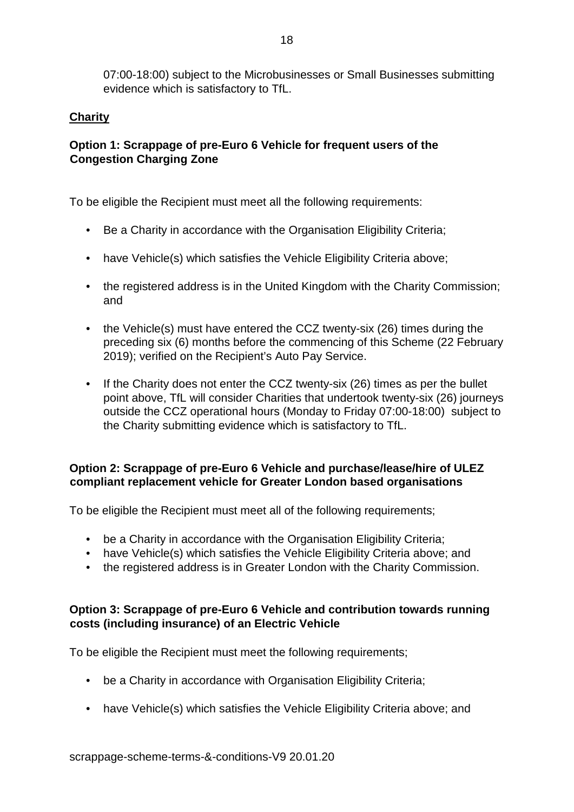07:00-18:00) subject to the Microbusinesses or Small Businesses submitting evidence which is satisfactory to TfL.

## **Charity**

## **Option 1: Scrappage of pre-Euro 6 Vehicle for frequent users of the Congestion Charging Zone**

To be eligible the Recipient must meet all the following requirements:

- Be a Charity in accordance with the Organisation Eligibility Criteria;
- have Vehicle(s) which satisfies the Vehicle Eligibility Criteria above;
- the registered address is in the United Kingdom with the Charity Commission; and
- the Vehicle(s) must have entered the CCZ twenty-six (26) times during the preceding six (6) months before the commencing of this Scheme (22 February 2019); verified on the Recipient's Auto Pay Service.
- If the Charity does not enter the CCZ twenty-six (26) times as per the bullet point above, TfL will consider Charities that undertook twenty-six (26) journeys outside the CCZ operational hours (Monday to Friday 07:00-18:00) subject to the Charity submitting evidence which is satisfactory to TfL.

## **Option 2: Scrappage of pre-Euro 6 Vehicle and purchase/lease/hire of ULEZ compliant replacement vehicle for Greater London based organisations**

To be eligible the Recipient must meet all of the following requirements;

- be a Charity in accordance with the Organisation Eligibility Criteria;
- have Vehicle(s) which satisfies the Vehicle Eligibility Criteria above; and
- the registered address is in Greater London with the Charity Commission.

### **Option 3: Scrappage of pre-Euro 6 Vehicle and contribution towards running costs (including insurance) of an Electric Vehicle**

To be eligible the Recipient must meet the following requirements;

- be a Charity in accordance with Organisation Eligibility Criteria;
- have Vehicle(s) which satisfies the Vehicle Eligibility Criteria above; and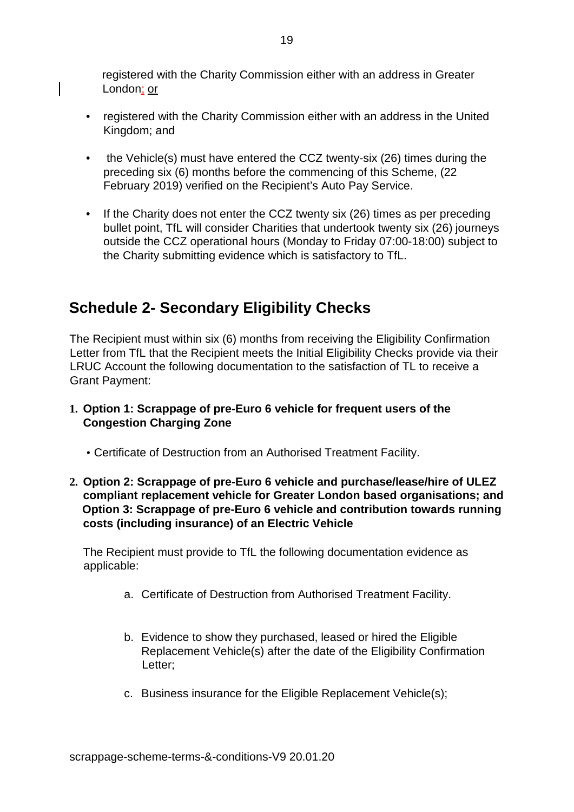registered with the Charity Commission either with an address in Greater London; or

- registered with the Charity Commission either with an address in the United Kingdom; and
- the Vehicle(s) must have entered the CCZ twenty-six (26) times during the preceding six (6) months before the commencing of this Scheme, (22 February 2019) verified on the Recipient's Auto Pay Service.
- If the Charity does not enter the CCZ twenty six (26) times as per preceding bullet point, TfL will consider Charities that undertook twenty six (26) journeys outside the CCZ operational hours (Monday to Friday 07:00-18:00) subject to the Charity submitting evidence which is satisfactory to TfL.

# **Schedule 2- Secondary Eligibility Checks**

The Recipient must within six (6) months from receiving the Eligibility Confirmation Letter from TfL that the Recipient meets the Initial Eligibility Checks provide via their LRUC Account the following documentation to the satisfaction of TL to receive a Grant Payment:

- **1. Option 1: Scrappage of pre-Euro 6 vehicle for frequent users of the Congestion Charging Zone** 
	- Certificate of Destruction from an Authorised Treatment Facility.
- **2. Option 2: Scrappage of pre-Euro 6 vehicle and purchase/lease/hire of ULEZ compliant replacement vehicle for Greater London based organisations; and Option 3: Scrappage of pre-Euro 6 vehicle and contribution towards running costs (including insurance) of an Electric Vehicle**

The Recipient must provide to TfL the following documentation evidence as applicable:

- a. Certificate of Destruction from Authorised Treatment Facility.
- b. Evidence to show they purchased, leased or hired the Eligible Replacement Vehicle(s) after the date of the Eligibility Confirmation Letter;
- c. Business insurance for the Eligible Replacement Vehicle(s);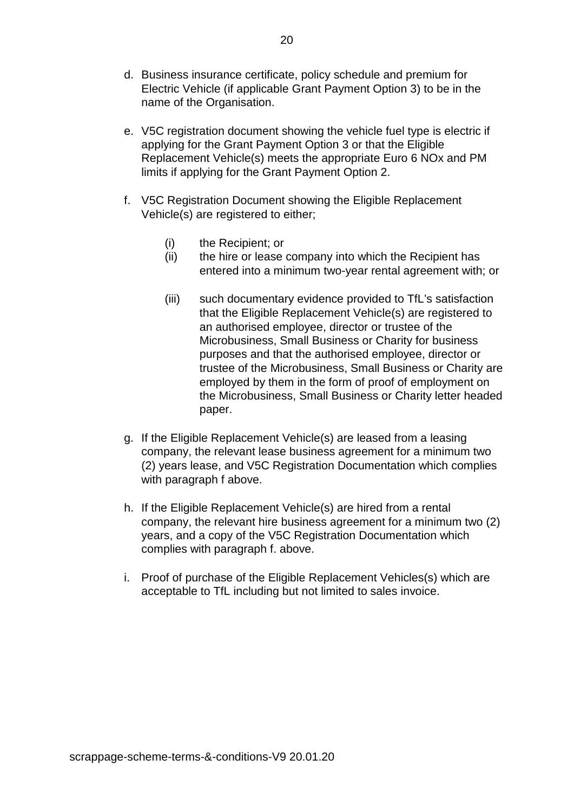- d. Business insurance certificate, policy schedule and premium for Electric Vehicle (if applicable Grant Payment Option 3) to be in the name of the Organisation.
- e. V5C registration document showing the vehicle fuel type is electric if applying for the Grant Payment Option 3 or that the Eligible Replacement Vehicle(s) meets the appropriate Euro 6 NOx and PM limits if applying for the Grant Payment Option 2.
- f. V5C Registration Document showing the Eligible Replacement Vehicle(s) are registered to either;
	- (i) the Recipient; or
	- (ii) the hire or lease company into which the Recipient has entered into a minimum two-year rental agreement with; or
	- (iii) such documentary evidence provided to TfL's satisfaction that the Eligible Replacement Vehicle(s) are registered to an authorised employee, director or trustee of the Microbusiness, Small Business or Charity for business purposes and that the authorised employee, director or trustee of the Microbusiness, Small Business or Charity are employed by them in the form of proof of employment on the Microbusiness, Small Business or Charity letter headed paper.
- g. If the Eligible Replacement Vehicle(s) are leased from a leasing company, the relevant lease business agreement for a minimum two (2) years lease, and V5C Registration Documentation which complies with paragraph f above.
- h. If the Eligible Replacement Vehicle(s) are hired from a rental company, the relevant hire business agreement for a minimum two (2) years, and a copy of the V5C Registration Documentation which complies with paragraph f. above.
- i. Proof of purchase of the Eligible Replacement Vehicles(s) which are acceptable to TfL including but not limited to sales invoice.